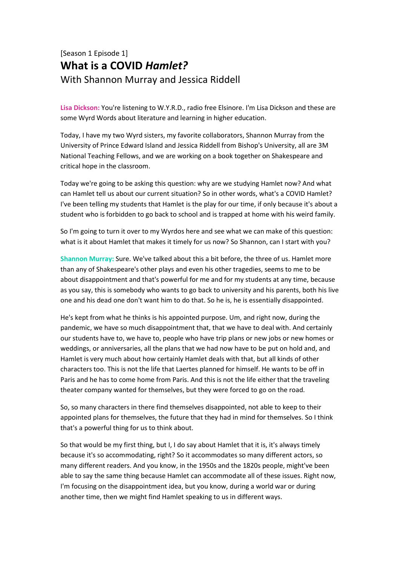## [Season 1 Episode 1] **What is a COVID** *Hamlet?* With Shannon Murray and Jessica Riddell

**Lisa Dickson:** You're listening to W.Y.R.D., radio free Elsinore. I'm Lisa Dickson and these are some Wyrd Words about literature and learning in higher education.

Today, I have my two Wyrd sisters, my favorite collaborators, Shannon Murray from the University of Prince Edward Island and Jessica Riddell from Bishop's University, all are 3M National Teaching Fellows, and we are working on a book together on Shakespeare and critical hope in the classroom.

Today we're going to be asking this question: why are we studying Hamlet now? And what can Hamlet tell us about our current situation? So in other words, what's a COVID Hamlet? I've been telling my students that Hamlet is the play for our time, if only because it's about a student who is forbidden to go back to school and is trapped at home with his weird family.

So I'm going to turn it over to my Wyrdos here and see what we can make of this question: what is it about Hamlet that makes it timely for us now? So Shannon, can I start with you?

**Shannon Murray:** Sure. We've talked about this a bit before, the three of us. Hamlet more than any of Shakespeare's other plays and even his other tragedies, seems to me to be about disappointment and that's powerful for me and for my students at any time, because as you say, this is somebody who wants to go back to university and his parents, both his live one and his dead one don't want him to do that. So he is, he is essentially disappointed.

He's kept from what he thinks is his appointed purpose. Um, and right now, during the pandemic, we have so much disappointment that, that we have to deal with. And certainly our students have to, we have to, people who have trip plans or new jobs or new homes or weddings, or anniversaries, all the plans that we had now have to be put on hold and, and Hamlet is very much about how certainly Hamlet deals with that, but all kinds of other characters too. This is not the life that Laertes planned for himself. He wants to be off in Paris and he has to come home from Paris. And this is not the life either that the traveling theater company wanted for themselves, but they were forced to go on the road.

So, so many characters in there find themselves disappointed, not able to keep to their appointed plans for themselves, the future that they had in mind for themselves. So I think that's a powerful thing for us to think about.

So that would be my first thing, but I, I do say about Hamlet that it is, it's always timely because it's so accommodating, right? So it accommodates so many different actors, so many different readers. And you know, in the 1950s and the 1820s people, might've been able to say the same thing because Hamlet can accommodate all of these issues. Right now, I'm focusing on the disappointment idea, but you know, during a world war or during another time, then we might find Hamlet speaking to us in different ways.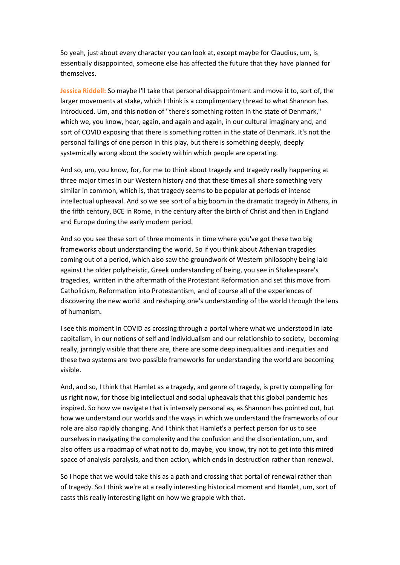So yeah, just about every character you can look at, except maybe for Claudius, um, is essentially disappointed, someone else has affected the future that they have planned for themselves.

**Jessica Riddell:** So maybe I'll take that personal disappointment and move it to, sort of, the larger movements at stake, which I think is a complimentary thread to what Shannon has introduced. Um, and this notion of "there's something rotten in the state of Denmark," which we, you know, hear, again, and again and again, in our cultural imaginary and, and sort of COVID exposing that there is something rotten in the state of Denmark. It's not the personal failings of one person in this play, but there is something deeply, deeply systemically wrong about the society within which people are operating.

And so, um, you know, for, for me to think about tragedy and tragedy really happening at three major times in our Western history and that these times all share something very similar in common, which is, that tragedy seems to be popular at periods of intense intellectual upheaval. And so we see sort of a big boom in the dramatic tragedy in Athens, in the fifth century, BCE in Rome, in the century after the birth of Christ and then in England and Europe during the early modern period.

And so you see these sort of three moments in time where you've got these two big frameworks about understanding the world. So if you think about Athenian tragedies coming out of a period, which also saw the groundwork of Western philosophy being laid against the older polytheistic, Greek understanding of being, you see in Shakespeare's tragedies, written in the aftermath of the Protestant Reformation and set this move from Catholicism, Reformation into Protestantism, and of course all of the experiences of discovering the new world and reshaping one's understanding of the world through the lens of humanism.

I see this moment in COVID as crossing through a portal where what we understood in late capitalism, in our notions of self and individualism and our relationship to society, becoming really, jarringly visible that there are, there are some deep inequalities and inequities and these two systems are two possible frameworks for understanding the world are becoming visible.

And, and so, I think that Hamlet as a tragedy, and genre of tragedy, is pretty compelling for us right now, for those big intellectual and social upheavals that this global pandemic has inspired. So how we navigate that is intensely personal as, as Shannon has pointed out, but how we understand our worlds and the ways in which we understand the frameworks of our role are also rapidly changing. And I think that Hamlet's a perfect person for us to see ourselves in navigating the complexity and the confusion and the disorientation, um, and also offers us a roadmap of what not to do, maybe, you know, try not to get into this mired space of analysis paralysis, and then action, which ends in destruction rather than renewal.

So I hope that we would take this as a path and crossing that portal of renewal rather than of tragedy. So I think we're at a really interesting historical moment and Hamlet, um, sort of casts this really interesting light on how we grapple with that.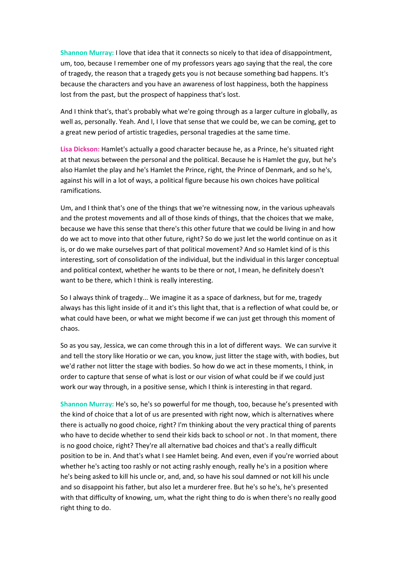**Shannon Murray:** I love that idea that it connects so nicely to that idea of disappointment, um, too, because I remember one of my professors years ago saying that the real, the core of tragedy, the reason that a tragedy gets you is not because something bad happens. It's because the characters and you have an awareness of lost happiness, both the happiness lost from the past, but the prospect of happiness that's lost.

And I think that's, that's probably what we're going through as a larger culture in globally, as well as, personally. Yeah. And I, I love that sense that we could be, we can be coming, get to a great new period of artistic tragedies, personal tragedies at the same time.

**Lisa Dickson:** Hamlet's actually a good character because he, as a Prince, he's situated right at that nexus between the personal and the political. Because he is Hamlet the guy, but he's also Hamlet the play and he's Hamlet the Prince, right, the Prince of Denmark, and so he's, against his will in a lot of ways, a political figure because his own choices have political ramifications.

Um, and I think that's one of the things that we're witnessing now, in the various upheavals and the protest movements and all of those kinds of things, that the choices that we make, because we have this sense that there's this other future that we could be living in and how do we act to move into that other future, right? So do we just let the world continue on as it is, or do we make ourselves part of that political movement? And so Hamlet kind of is this interesting, sort of consolidation of the individual, but the individual in this larger conceptual and political context, whether he wants to be there or not, I mean, he definitely doesn't want to be there, which I think is really interesting.

So I always think of tragedy... We imagine it as a space of darkness, but for me, tragedy always has this light inside of it and it's this light that, that is a reflection of what could be, or what could have been, or what we might become if we can just get through this moment of chaos.

So as you say, Jessica, we can come through this in a lot of different ways. We can survive it and tell the story like Horatio or we can, you know, just litter the stage with, with bodies, but we'd rather not litter the stage with bodies. So how do we act in these moments, I think, in order to capture that sense of what is lost or our vision of what could be if we could just work our way through, in a positive sense, which I think is interesting in that regard.

**Shannon Murray:** He's so, he's so powerful for me though, too, because he's presented with the kind of choice that a lot of us are presented with right now, which is alternatives where there is actually no good choice, right? I'm thinking about the very practical thing of parents who have to decide whether to send their kids back to school or not . In that moment, there is no good choice, right? They're all alternative bad choices and that's a really difficult position to be in. And that's what I see Hamlet being. And even, even if you're worried about whether he's acting too rashly or not acting rashly enough, really he's in a position where he's being asked to kill his uncle or, and, and, so have his soul damned or not kill his uncle and so disappoint his father, but also let a murderer free. But he's so he's, he's presented with that difficulty of knowing, um, what the right thing to do is when there's no really good right thing to do.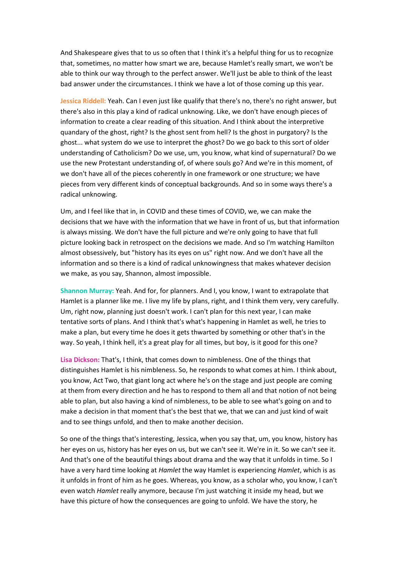And Shakespeare gives that to us so often that I think it's a helpful thing for us to recognize that, sometimes, no matter how smart we are, because Hamlet's really smart, we won't be able to think our way through to the perfect answer. We'll just be able to think of the least bad answer under the circumstances. I think we have a lot of those coming up this year.

**Jessica Riddell:** Yeah. Can I even just like qualify that there's no, there's no right answer, but there's also in this play a kind of radical unknowing. Like, we don't have enough pieces of information to create a clear reading of this situation. And I think about the interpretive quandary of the ghost, right? Is the ghost sent from hell? Is the ghost in purgatory? Is the ghost... what system do we use to interpret the ghost? Do we go back to this sort of older understanding of Catholicism? Do we use, um, you know, what kind of supernatural? Do we use the new Protestant understanding of, of where souls go? And we're in this moment, of we don't have all of the pieces coherently in one framework or one structure; we have pieces from very different kinds of conceptual backgrounds. And so in some ways there's a radical unknowing.

Um, and I feel like that in, in COVID and these times of COVID, we, we can make the decisions that we have with the information that we have in front of us, but that information is always missing. We don't have the full picture and we're only going to have that full picture looking back in retrospect on the decisions we made. And so I'm watching Hamilton almost obsessively, but "history has its eyes on us" right now. And we don't have all the information and so there is a kind of radical unknowingness that makes whatever decision we make, as you say, Shannon, almost impossible.

**Shannon Murray:** Yeah. And for, for planners. And I, you know, I want to extrapolate that Hamlet is a planner like me. I live my life by plans, right, and I think them very, very carefully. Um, right now, planning just doesn't work. I can't plan for this next year, I can make tentative sorts of plans. And I think that's what's happening in Hamlet as well, he tries to make a plan, but every time he does it gets thwarted by something or other that's in the way. So yeah, I think hell, it's a great play for all times, but boy, is it good for this one?

**Lisa Dickson:** That's, I think, that comes down to nimbleness. One of the things that distinguishes Hamlet is his nimbleness. So, he responds to what comes at him. I think about, you know, Act Two, that giant long act where he's on the stage and just people are coming at them from every direction and he has to respond to them all and that notion of not being able to plan, but also having a kind of nimbleness, to be able to see what's going on and to make a decision in that moment that's the best that we, that we can and just kind of wait and to see things unfold, and then to make another decision.

So one of the things that's interesting, Jessica, when you say that, um, you know, history has her eyes on us, history has her eyes on us, but we can't see it. We're in it. So we can't see it. And that's one of the beautiful things about drama and the way that it unfolds in time. So I have a very hard time looking at *Hamlet* the way Hamlet is experiencing *Hamlet*, which is as it unfolds in front of him as he goes. Whereas, you know, as a scholar who, you know, I can't even watch *Hamlet* really anymore, because I'm just watching it inside my head, but we have this picture of how the consequences are going to unfold. We have the story, he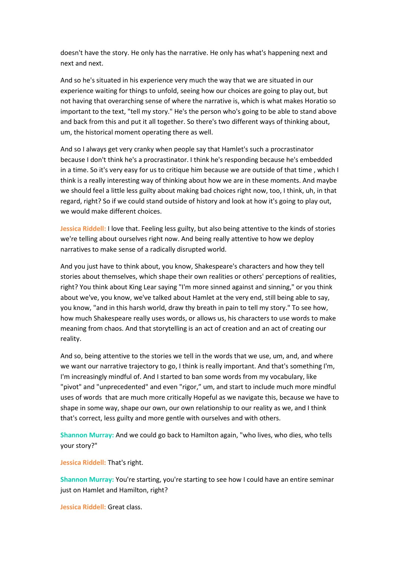doesn't have the story. He only has the narrative. He only has what's happening next and next and next.

And so he's situated in his experience very much the way that we are situated in our experience waiting for things to unfold, seeing how our choices are going to play out, but not having that overarching sense of where the narrative is, which is what makes Horatio so important to the text, "tell my story." He's the person who's going to be able to stand above and back from this and put it all together. So there's two different ways of thinking about, um, the historical moment operating there as well.

And so I always get very cranky when people say that Hamlet's such a procrastinator because I don't think he's a procrastinator. I think he's responding because he's embedded in a time. So it's very easy for us to critique him because we are outside of that time, which I think is a really interesting way of thinking about how we are in these moments. And maybe we should feel a little less guilty about making bad choices right now, too, I think, uh, in that regard, right? So if we could stand outside of history and look at how it's going to play out, we would make different choices.

**Jessica Riddell:** I love that. Feeling less guilty, but also being attentive to the kinds of stories we're telling about ourselves right now. And being really attentive to how we deploy narratives to make sense of a radically disrupted world.

And you just have to think about, you know, Shakespeare's characters and how they tell stories about themselves, which shape their own realities or others' perceptions of realities, right? You think about King Lear saying "I'm more sinned against and sinning," or you think about we've, you know, we've talked about Hamlet at the very end, still being able to say, you know, "and in this harsh world, draw thy breath in pain to tell my story." To see how, how much Shakespeare really uses words, or allows us, his characters to use words to make meaning from chaos. And that storytelling is an act of creation and an act of creating our reality.

And so, being attentive to the stories we tell in the words that we use, um, and, and where we want our narrative trajectory to go, I think is really important. And that's something I'm, I'm increasingly mindful of. And I started to ban some words from my vocabulary, like "pivot" and "unprecedented" and even "rigor," um, and start to include much more mindful uses of words that are much more critically Hopeful as we navigate this, because we have to shape in some way, shape our own, our own relationship to our reality as we, and I think that's correct, less guilty and more gentle with ourselves and with others.

**Shannon Murray:** And we could go back to Hamilton again, "who lives, who dies, who tells your story?"

**Jessica Riddell:** That's right.

**Shannon Murray:** You're starting, you're starting to see how I could have an entire seminar just on Hamlet and Hamilton, right?

**Jessica Riddell:** Great class.